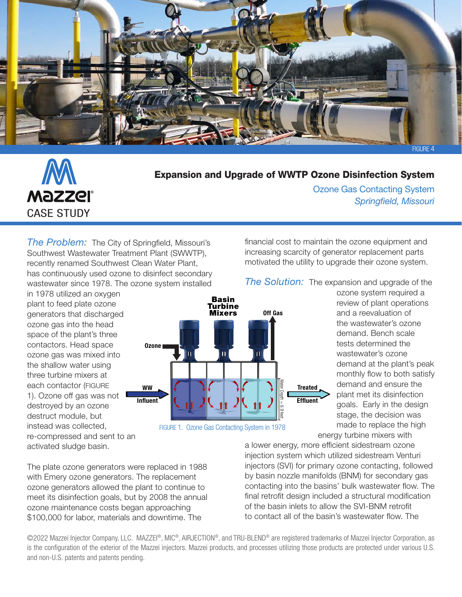



## Expansion and Upgrade of WWTP Ozone Disinfection System

Ozone Gas Contacting System *Springfield, Missouri*

*The Problem:* The City of Springfield, Missouri's Southwest Wastewater Treatment Plant (SWWTP), recently renamed Southwest Clean Water Plant, has continuously used ozone to disinfect secondary wastewater since 1978. The ozone system installed

in 1978 utilized an oxygen plant to feed plate ozone generators that discharged ozone gas into the head space of the plant's three contactors. Head space ozone gas was mixed into the shallow water using three turbine mixers at each contactor (FIGURE 1). Ozone off gas was not destroyed by an ozone destruct module, but instead was collected, re-compressed and sent to an activated sludge basin.





financial cost to maintain the ozone equipment and increasing scarcity of generator replacement parts motivated the utility to upgrade their ozone system.

*The Solution:* The expansion and upgrade of the

ozone system required a review of plant operations and a reevaluation of the wastewater's ozone demand. Bench scale tests determined the wastewater's ozone demand at the plant's peak monthly flow to both satisfy demand and ensure the plant met its disinfection goals. Early in the design stage, the decision was made to replace the high energy turbine mixers with

a lower energy, more efficient sidestream ozone injection system which utilized sidestream Venturi injectors (SVI) for primary ozone contacting, followed by basin nozzle manifolds (BNM) for secondary gas contacting into the basins' bulk wastewater flow. The final retrofit design included a structural modification of the basin inlets to allow the SVI-BNM retrofit to contact all of the basin's wastewater flow. The

The plate ozone generators were replaced in 1988 with Emery ozone generators. The replacement ozone generators allowed the plant to continue to meet its disinfection goals, but by 2008 the annual ozone maintenance costs began approaching \$100,000 for labor, materials and downtime. The

©2022 Mazzei Injector Company, LLC. MAZZEI®, MIC®, AIRJECTION®, and TRU-BLEND® are registered trademarks of Mazzei Injector Corporation, as is the configuration of the exterior of the Mazzei injectors. Mazzei products, and processes utilizing those products are protected under various U.S. and non-U.S. patents and patents pending.